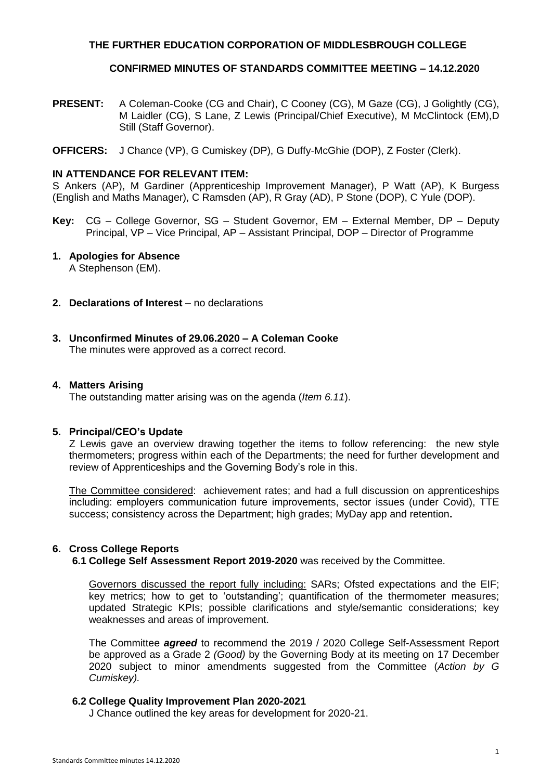# **THE FURTHER EDUCATION CORPORATION OF MIDDLESBROUGH COLLEGE**

# **CONFIRMED MINUTES OF STANDARDS COMMITTEE MEETING – 14.12.2020**

- **PRESENT:** A Coleman-Cooke (CG and Chair), C Cooney (CG), M Gaze (CG), J Golightly (CG), M Laidler (CG), S Lane, Z Lewis (Principal/Chief Executive), M McClintock (EM),D Still (Staff Governor).
- **OFFICERS:** J Chance (VP), G Cumiskey (DP), G Duffy-McGhie (DOP), Z Foster (Clerk).

# **IN ATTENDANCE FOR RELEVANT ITEM:**

S Ankers (AP), M Gardiner (Apprenticeship Improvement Manager), P Watt (AP), K Burgess (English and Maths Manager), C Ramsden (AP), R Gray (AD), P Stone (DOP), C Yule (DOP).

**Key:** CG – College Governor, SG – Student Governor, EM – External Member, DP – Deputy Principal, VP – Vice Principal, AP – Assistant Principal, DOP – Director of Programme

# **1. Apologies for Absence**

A Stephenson (EM).

- **2. Declarations of Interest** no declarations
- **3. Unconfirmed Minutes of 29.06.2020 – A Coleman Cooke** The minutes were approved as a correct record.

## **4. Matters Arising**

The outstanding matter arising was on the agenda (*Item 6.11*).

### **5. Principal/CEO's Update**

Z Lewis gave an overview drawing together the items to follow referencing: the new style thermometers; progress within each of the Departments; the need for further development and review of Apprenticeships and the Governing Body's role in this.

The Committee considered: achievement rates; and had a full discussion on apprenticeships including: employers communication future improvements, sector issues (under Covid), TTE success; consistency across the Department; high grades; MyDay app and retention**.**

# **6. Cross College Reports**

**6.1 College Self Assessment Report 2019-2020** was received by the Committee.

Governors discussed the report fully including: SARs; Ofsted expectations and the EIF; key metrics; how to get to 'outstanding'; quantification of the thermometer measures; updated Strategic KPIs; possible clarifications and style/semantic considerations; key weaknesses and areas of improvement.

The Committee *agreed* to recommend the 2019 / 2020 College Self-Assessment Report be approved as a Grade 2 *(Good)* by the Governing Body at its meeting on 17 December 2020 subject to minor amendments suggested from the Committee (*Action by G Cumiskey).*

### **6.2 College Quality Improvement Plan 2020-2021**

J Chance outlined the key areas for development for 2020-21.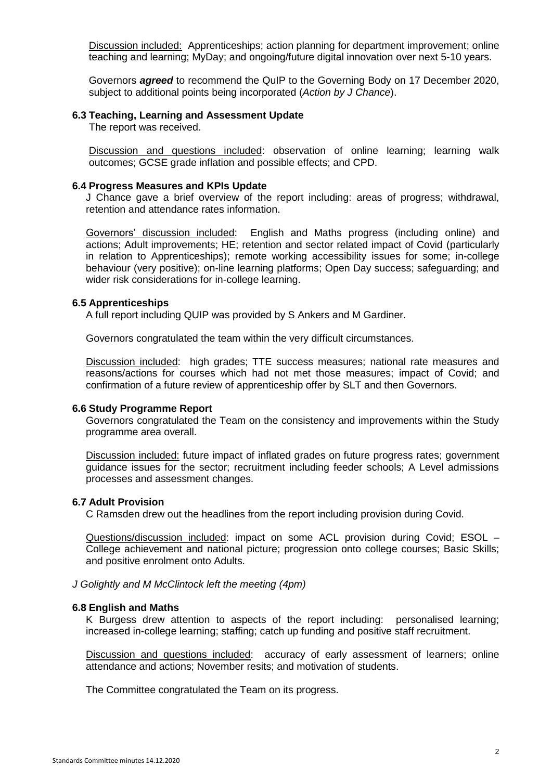Discussion included: Apprenticeships; action planning for department improvement; online teaching and learning; MyDay; and ongoing/future digital innovation over next 5-10 years.

Governors *agreed* to recommend the QuIP to the Governing Body on 17 December 2020, subject to additional points being incorporated (*Action by J Chance*).

#### **6.3 Teaching, Learning and Assessment Update**

The report was received.

Discussion and questions included: observation of online learning; learning walk outcomes; GCSE grade inflation and possible effects; and CPD.

#### **6.4 Progress Measures and KPIs Update**

J Chance gave a brief overview of the report including: areas of progress; withdrawal, retention and attendance rates information.

Governors' discussion included: English and Maths progress (including online) and actions; Adult improvements; HE; retention and sector related impact of Covid (particularly in relation to Apprenticeships); remote working accessibility issues for some; in-college behaviour (very positive); on-line learning platforms; Open Day success; safeguarding; and wider risk considerations for in-college learning.

### **6.5 Apprenticeships**

A full report including QUIP was provided by S Ankers and M Gardiner.

Governors congratulated the team within the very difficult circumstances.

Discussion included: high grades; TTE success measures; national rate measures and reasons/actions for courses which had not met those measures; impact of Covid; and confirmation of a future review of apprenticeship offer by SLT and then Governors.

### **6.6 Study Programme Report**

Governors congratulated the Team on the consistency and improvements within the Study programme area overall.

Discussion included: future impact of inflated grades on future progress rates; government guidance issues for the sector; recruitment including feeder schools; A Level admissions processes and assessment changes.

### **6.7 Adult Provision**

C Ramsden drew out the headlines from the report including provision during Covid.

Questions/discussion included: impact on some ACL provision during Covid; ESOL – College achievement and national picture; progression onto college courses; Basic Skills; and positive enrolment onto Adults.

#### *J Golightly and M McClintock left the meeting (4pm)*

#### **6.8 English and Maths**

K Burgess drew attention to aspects of the report including: personalised learning; increased in-college learning; staffing; catch up funding and positive staff recruitment.

Discussion and questions included: accuracy of early assessment of learners; online attendance and actions; November resits; and motivation of students.

The Committee congratulated the Team on its progress.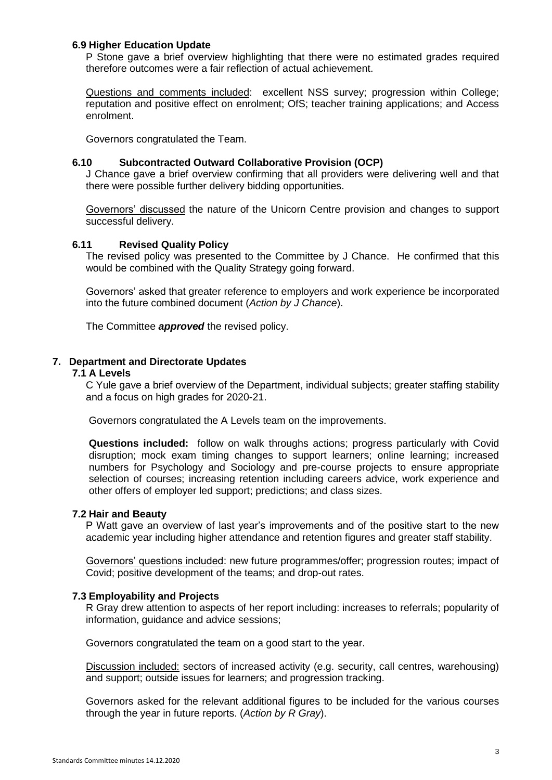# **6.9 Higher Education Update**

P Stone gave a brief overview highlighting that there were no estimated grades required therefore outcomes were a fair reflection of actual achievement.

Questions and comments included: excellent NSS survey; progression within College; reputation and positive effect on enrolment; OfS; teacher training applications; and Access enrolment.

Governors congratulated the Team.

### **6.10 Subcontracted Outward Collaborative Provision (OCP)**

J Chance gave a brief overview confirming that all providers were delivering well and that there were possible further delivery bidding opportunities.

Governors' discussed the nature of the Unicorn Centre provision and changes to support successful delivery.

#### **6.11 Revised Quality Policy**

The revised policy was presented to the Committee by J Chance. He confirmed that this would be combined with the Quality Strategy going forward.

Governors' asked that greater reference to employers and work experience be incorporated into the future combined document (*Action by J Chance*).

The Committee *approved* the revised policy.

# **7. Department and Directorate Updates**

#### **7.1 A Levels**

C Yule gave a brief overview of the Department, individual subjects; greater staffing stability and a focus on high grades for 2020-21.

Governors congratulated the A Levels team on the improvements.

**Questions included:** follow on walk throughs actions; progress particularly with Covid disruption; mock exam timing changes to support learners; online learning; increased numbers for Psychology and Sociology and pre-course projects to ensure appropriate selection of courses; increasing retention including careers advice, work experience and other offers of employer led support; predictions; and class sizes.

### **7.2 Hair and Beauty**

P Watt gave an overview of last year's improvements and of the positive start to the new academic year including higher attendance and retention figures and greater staff stability.

Governors' questions included: new future programmes/offer; progression routes; impact of Covid; positive development of the teams; and drop-out rates.

### **7.3 Employability and Projects**

R Gray drew attention to aspects of her report including: increases to referrals; popularity of information, guidance and advice sessions;

Governors congratulated the team on a good start to the year.

Discussion included: sectors of increased activity (e.g. security, call centres, warehousing) and support; outside issues for learners; and progression tracking.

Governors asked for the relevant additional figures to be included for the various courses through the year in future reports. (*Action by R Gray*).